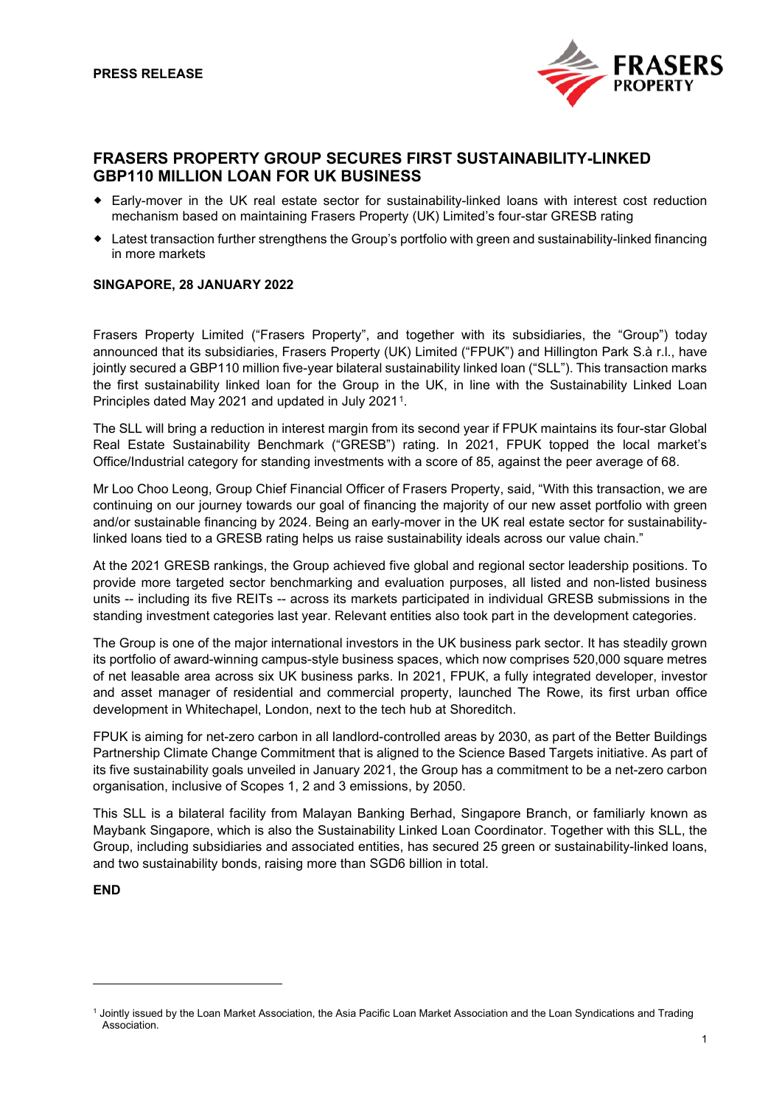

# **FRASERS PROPERTY GROUP SECURES FIRST SUSTAINABILITY-LINKED GBP110 MILLION LOAN FOR UK BUSINESS**

- Early-mover in the UK real estate sector for sustainability-linked loans with interest cost reduction mechanism based on maintaining Frasers Property (UK) Limited's four-star GRESB rating
- Latest transaction further strengthens the Group's portfolio with green and sustainability-linked financing in more markets

## **SINGAPORE, 28 JANUARY 2022**

Frasers Property Limited ("Frasers Property", and together with its subsidiaries, the "Group") today announced that its subsidiaries, Frasers Property (UK) Limited ("FPUK") and Hillington Park S.à r.l., have jointly secured a GBP110 million five-year bilateral sustainability linked loan ("SLL"). This transaction marks the first sustainability linked loan for the Group in the UK, in line with the Sustainability Linked Loan Principles dated May 2021 and updated in July 2021[1](#page-0-0).

The SLL will bring a reduction in interest margin from its second year if FPUK maintains its four-star Global Real Estate Sustainability Benchmark ("GRESB") rating. In 2021, FPUK topped the local market's Office/Industrial category for standing investments with a score of 85, against the peer average of 68.

Mr Loo Choo Leong, Group Chief Financial Officer of Frasers Property, said, "With this transaction, we are continuing on our journey towards our goal of financing the majority of our new asset portfolio with green and/or sustainable financing by 2024. Being an early-mover in the UK real estate sector for sustainabilitylinked loans tied to a GRESB rating helps us raise sustainability ideals across our value chain."

At the 2021 GRESB rankings, the Group achieved five global and regional sector leadership positions. To provide more targeted sector benchmarking and evaluation purposes, all listed and non-listed business units -- including its five REITs -- across its markets participated in individual GRESB submissions in the standing investment categories last year. Relevant entities also took part in the development categories.

The Group is one of the major international investors in the UK business park sector. It has steadily grown its portfolio of award-winning campus-style business spaces, which now comprises 520,000 square metres of net leasable area across six UK business parks. In 2021, FPUK, a fully integrated developer, investor and asset manager of residential and commercial property, launched The Rowe, its first urban office development in Whitechapel, London, next to the tech hub at Shoreditch.

FPUK is aiming for net-zero carbon in all landlord-controlled areas by 2030, as part of the Better Buildings Partnership Climate Change Commitment that is aligned to the Science Based Targets initiative. As part of its five sustainability goals unveiled in January 2021, the Group has a commitment to be a net-zero carbon organisation, inclusive of Scopes 1, 2 and 3 emissions, by 2050.

This SLL is a bilateral facility from Malayan Banking Berhad, Singapore Branch, or familiarly known as Maybank Singapore, which is also the Sustainability Linked Loan Coordinator. Together with this SLL, the Group, including subsidiaries and associated entities, has secured 25 green or sustainability-linked loans, and two sustainability bonds, raising more than SGD6 billion in total.

**END** 

<span id="page-0-0"></span><sup>1</sup> Jointly issued by the Loan Market Association, the Asia Pacific Loan Market Association and the Loan Syndications and Trading Association.